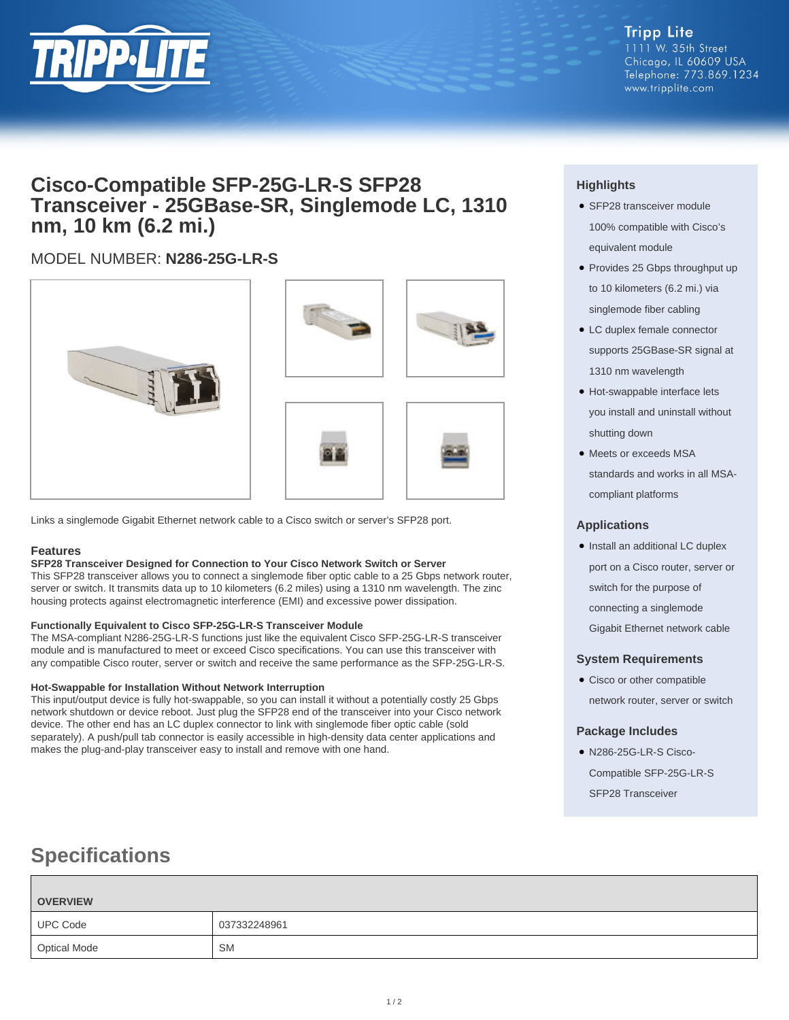

## **Cisco-Compatible SFP-25G-LR-S SFP28 Transceiver - 25GBase-SR, Singlemode LC, 1310 nm, 10 km (6.2 mi.)**

## MODEL NUMBER: **N286-25G-LR-S**



Links a singlemode Gigabit Ethernet network cable to a Cisco switch or server's SFP28 port.

## **Features**

### **SFP28 Transceiver Designed for Connection to Your Cisco Network Switch or Server**

This SFP28 transceiver allows you to connect a singlemode fiber optic cable to a 25 Gbps network router, server or switch. It transmits data up to 10 kilometers (6.2 miles) using a 1310 nm wavelength. The zinc housing protects against electromagnetic interference (EMI) and excessive power dissipation.

### **Functionally Equivalent to Cisco SFP-25G-LR-S Transceiver Module**

The MSA-compliant N286-25G-LR-S functions just like the equivalent Cisco SFP-25G-LR-S transceiver module and is manufactured to meet or exceed Cisco specifications. You can use this transceiver with any compatible Cisco router, server or switch and receive the same performance as the SFP-25G-LR-S.

### **Hot-Swappable for Installation Without Network Interruption**

This input/output device is fully hot-swappable, so you can install it without a potentially costly 25 Gbps network shutdown or device reboot. Just plug the SFP28 end of the transceiver into your Cisco network device. The other end has an LC duplex connector to link with singlemode fiber optic cable (sold separately). A push/pull tab connector is easily accessible in high-density data center applications and makes the plug-and-play transceiver easy to install and remove with one hand.

## **Highlights**

- SFP28 transceiver module 100% compatible with Cisco's equivalent module
- Provides 25 Gbps throughput up to 10 kilometers (6.2 mi.) via singlemode fiber cabling
- LC duplex female connector supports 25GBase-SR signal at 1310 nm wavelength
- Hot-swappable interface lets you install and uninstall without shutting down
- Meets or exceeds MSA standards and works in all MSAcompliant platforms

## **Applications**

• Install an additional LC duplex port on a Cisco router, server or switch for the purpose of connecting a singlemode Gigabit Ethernet network cable

## **System Requirements**

• Cisco or other compatible network router, server or switch

## **Package Includes**

● N286-25G-LR-S Cisco-Compatible SFP-25G-LR-S SFP28 Transceiver

# **Specifications**

| <b>OVERVIEW</b>     |              |
|---------------------|--------------|
| <b>UPC Code</b>     | 037332248961 |
| <b>Optical Mode</b> | <b>SM</b>    |